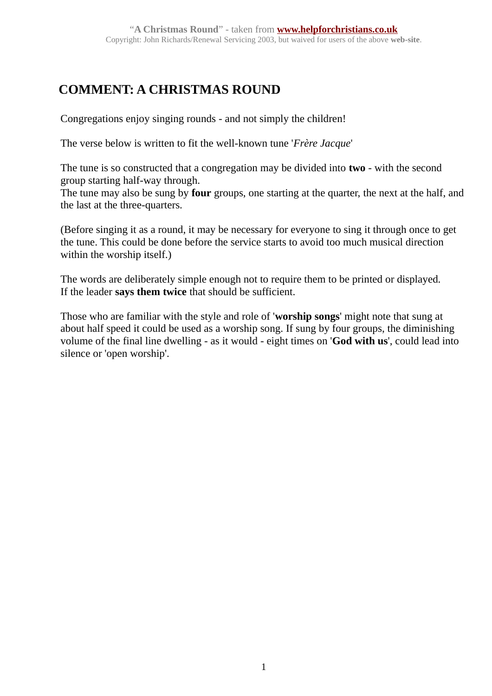## **COMMENT: A CHRISTMAS ROUND**

Congregations enjoy singing rounds - and not simply the children!

The verse below is written to fit the well-known tune '*Frère Jacque*'

The tune is so constructed that a congregation may be divided into **two** - with the second group starting half-way through.

The tune may also be sung by **four** groups, one starting at the quarter, the next at the half, and the last at the three-quarters.

(Before singing it as a round, it may be necessary for everyone to sing it through once to get the tune. This could be done before the service starts to avoid too much musical direction within the worship itself.)

The words are deliberately simple enough not to require them to be printed or displayed. If the leader **says them twice** that should be sufficient.

Those who are familiar with the style and role of '**worship songs**' might note that sung at about half speed it could be used as a worship song. If sung by four groups, the diminishing volume of the final line dwelling - as it would - eight times on '**God with us**', could lead into silence or 'open worship'.